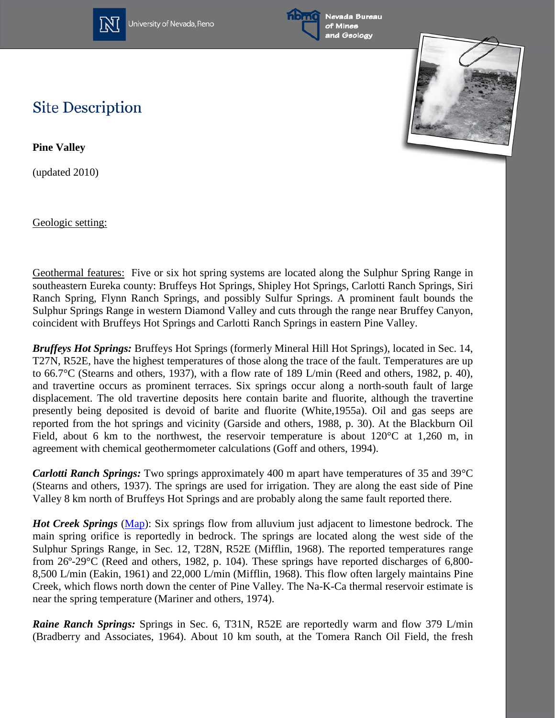

University of Nevada, Reno





## **Site Description**

**Pine Valley**

(updated 2010)

Geologic setting:

Geothermal features: Five or six hot spring systems are located along the Sulphur Spring Range in southeastern Eureka county: Bruffeys Hot Springs, Shipley Hot Springs, Carlotti Ranch Springs, Siri Ranch Spring, Flynn Ranch Springs, and possibly Sulfur Springs. A prominent fault bounds the Sulphur Springs Range in western Diamond Valley and cuts through the range near Bruffey Canyon, coincident with Bruffeys Hot Springs and Carlotti Ranch Springs in eastern Pine Valley.

*Bruffeys Hot Springs:* Bruffeys Hot Springs (formerly Mineral Hill Hot Springs), located in Sec. 14, T27N, R52E, have the highest temperatures of those along the trace of the fault. Temperatures are up to 66.7°C (Stearns and others, 1937), with a flow rate of 189 L/min (Reed and others, 1982, p. 40), and travertine occurs as prominent terraces. Six springs occur along a north-south fault of large displacement. The old travertine deposits here contain barite and fluorite, although the travertine presently being deposited is devoid of barite and fluorite (White,1955a). Oil and gas seeps are reported from the hot springs and vicinity (Garside and others, 1988, p. 30). At the Blackburn Oil Field, about 6 km to the northwest, the reservoir temperature is about 120°C at 1,260 m, in agreement with chemical geothermometer calculations (Goff and others, 1994).

*Carlotti Ranch Springs:* Two springs approximately 400 m apart have temperatures of 35 and 39°C (Stearns and others, 1937). The springs are used for irrigation. They are along the east side of Pine Valley 8 km north of Bruffeys Hot Springs and are probably along the same fault reported there.

*Hot Creek Springs* [\(Map\)](http://www.nbmg.unr.edu/geothermal/detailedmaps/Hot%20Creek%20Springs.pdf): Six springs flow from alluvium just adjacent to limestone bedrock. The main spring orifice is reportedly in bedrock. The springs are located along the west side of the Sulphur Springs Range, in Sec. 12, T28N, R52E (Mifflin, 1968). The reported temperatures range from 26º-29°C (Reed and others, 1982, p. 104). These springs have reported discharges of 6,800- 8,500 L/min (Eakin, 1961) and 22,000 L/min (Mifflin, 1968). This flow often largely maintains Pine Creek, which flows north down the center of Pine Valley. The Na-K-Ca thermal reservoir estimate is near the spring temperature (Mariner and others, 1974).

*Raine Ranch Springs: Springs in Sec. 6, T31N, R52E are reportedly warm and flow 379 L/min* (Bradberry and Associates, 1964). About 10 km south, at the Tomera Ranch Oil Field, the fresh